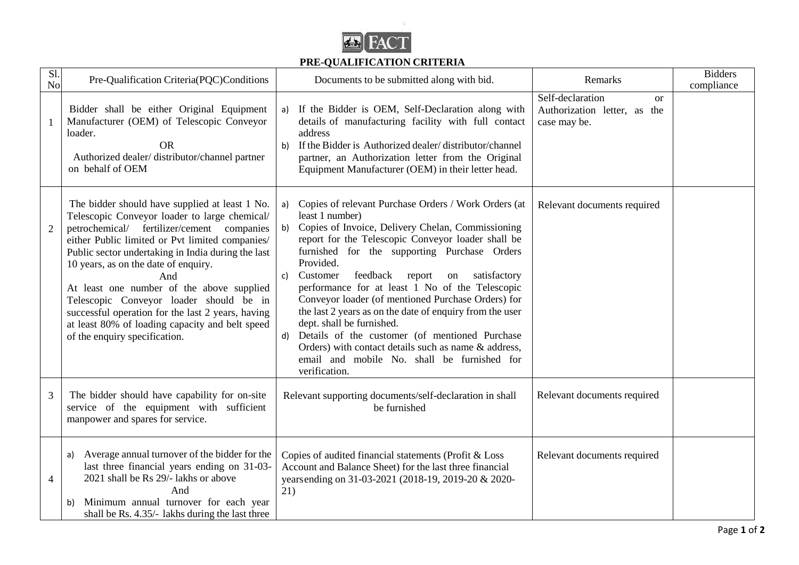

## **PRE-QUALIFICATION CRITERIA**

 $\mathcal{D}^{\mathcal{L}}$ 

| Sl.<br>N <sub>o</sub> | Pre-Qualification Criteria(PQC)Conditions                                                                                                                                                                                                                                                                                                                                                                                                                                                                                              | Documents to be submitted along with bid.                                                                                                                                                                                                                                                                                                                                                                                                                                                                                                                                                                                                                                                       | Remarks                                                                           | <b>Bidders</b><br>compliance |
|-----------------------|----------------------------------------------------------------------------------------------------------------------------------------------------------------------------------------------------------------------------------------------------------------------------------------------------------------------------------------------------------------------------------------------------------------------------------------------------------------------------------------------------------------------------------------|-------------------------------------------------------------------------------------------------------------------------------------------------------------------------------------------------------------------------------------------------------------------------------------------------------------------------------------------------------------------------------------------------------------------------------------------------------------------------------------------------------------------------------------------------------------------------------------------------------------------------------------------------------------------------------------------------|-----------------------------------------------------------------------------------|------------------------------|
|                       | Bidder shall be either Original Equipment<br>Manufacturer (OEM) of Telescopic Conveyor<br>loader.<br><b>OR</b><br>Authorized dealer/distributor/channel partner<br>on behalf of OEM                                                                                                                                                                                                                                                                                                                                                    | If the Bidder is OEM, Self-Declaration along with<br>a)<br>details of manufacturing facility with full contact<br>address<br>b) If the Bidder is Authorized dealer/distributor/channel<br>partner, an Authorization letter from the Original<br>Equipment Manufacturer (OEM) in their letter head.                                                                                                                                                                                                                                                                                                                                                                                              | Self-declaration<br><sub>or</sub><br>Authorization letter, as the<br>case may be. |                              |
| $\overline{2}$        | The bidder should have supplied at least 1 No.<br>Telescopic Conveyor loader to large chemical/<br>petrochemical/ fertilizer/cement companies<br>either Public limited or Pvt limited companies/<br>Public sector undertaking in India during the last<br>10 years, as on the date of enquiry.<br>And<br>At least one number of the above supplied<br>Telescopic Conveyor loader should be in<br>successful operation for the last 2 years, having<br>at least 80% of loading capacity and belt speed<br>of the enquiry specification. | Copies of relevant Purchase Orders / Work Orders (at<br>a)<br>least 1 number)<br>b) Copies of Invoice, Delivery Chelan, Commissioning<br>report for the Telescopic Conveyor loader shall be<br>furnished for the supporting Purchase Orders<br>Provided.<br>Customer<br>feedback report on satisfactory<br>c)<br>performance for at least 1 No of the Telescopic<br>Conveyor loader (of mentioned Purchase Orders) for<br>the last 2 years as on the date of enquiry from the user<br>dept. shall be furnished.<br>Details of the customer (of mentioned Purchase<br>d)<br>Orders) with contact details such as name & address,<br>email and mobile No. shall be furnished for<br>verification. | Relevant documents required                                                       |                              |
| 3                     | The bidder should have capability for on-site<br>service of the equipment with sufficient<br>manpower and spares for service.                                                                                                                                                                                                                                                                                                                                                                                                          | Relevant supporting documents/self-declaration in shall<br>be furnished                                                                                                                                                                                                                                                                                                                                                                                                                                                                                                                                                                                                                         | Relevant documents required                                                       |                              |
| $\overline{4}$        | Average annual turnover of the bidder for the<br>a)<br>last three financial years ending on 31-03-<br>2021 shall be Rs 29/- lakhs or above<br>And<br>Minimum annual turnover for each year<br>b)<br>shall be Rs. 4.35/- lakhs during the last three                                                                                                                                                                                                                                                                                    | Copies of audited financial statements (Profit & Loss<br>Account and Balance Sheet) for the last three financial<br>yearsending on 31-03-2021 (2018-19, 2019-20 & 2020-<br>21)                                                                                                                                                                                                                                                                                                                                                                                                                                                                                                                  | Relevant documents required                                                       |                              |